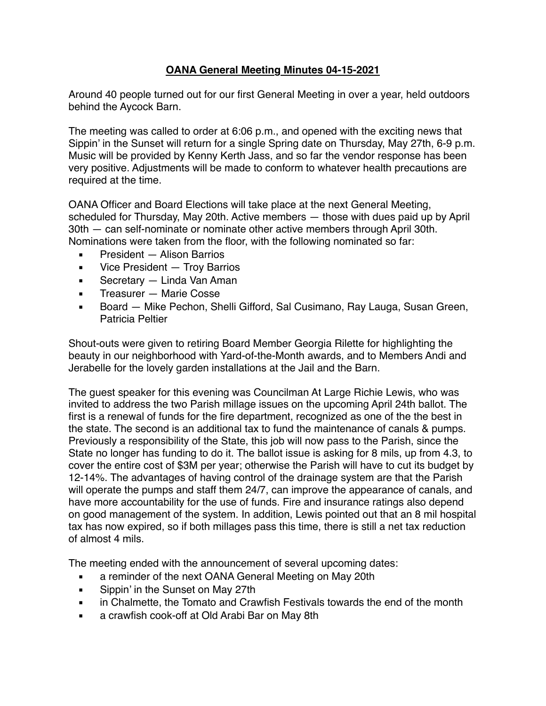## **OANA General Meeting Minutes 04-15-2021**

Around 40 people turned out for our first General Meeting in over a year, held outdoors behind the Aycock Barn.

The meeting was called to order at 6:06 p.m., and opened with the exciting news that Sippin' in the Sunset will return for a single Spring date on Thursday, May 27th, 6-9 p.m. Music will be provided by Kenny Kerth Jass, and so far the vendor response has been very positive. Adjustments will be made to conform to whatever health precautions are required at the time.

OANA Officer and Board Elections will take place at the next General Meeting, scheduled for Thursday, May 20th. Active members — those with dues paid up by April 30th — can self-nominate or nominate other active members through April 30th. Nominations were taken from the floor, with the following nominated so far:

- President Alison Barrios
- **EXECO** Vice President Troy Barrios
- Secretary Linda Van Aman
- Treasurer Marie Cosse
- Board Mike Pechon, Shelli Gifford, Sal Cusimano, Ray Lauga, Susan Green, Patricia Peltier

Shout-outs were given to retiring Board Member Georgia Rilette for highlighting the beauty in our neighborhood with Yard-of-the-Month awards, and to Members Andi and Jerabelle for the lovely garden installations at the Jail and the Barn.

The guest speaker for this evening was Councilman At Large Richie Lewis, who was invited to address the two Parish millage issues on the upcoming April 24th ballot. The first is a renewal of funds for the fire department, recognized as one of the the best in the state. The second is an additional tax to fund the maintenance of canals & pumps. Previously a responsibility of the State, this job will now pass to the Parish, since the State no longer has funding to do it. The ballot issue is asking for 8 mils, up from 4.3, to cover the entire cost of \$3M per year; otherwise the Parish will have to cut its budget by 12-14%. The advantages of having control of the drainage system are that the Parish will operate the pumps and staff them 24/7, can improve the appearance of canals, and have more accountability for the use of funds. Fire and insurance ratings also depend on good management of the system. In addition, Lewis pointed out that an 8 mil hospital tax has now expired, so if both millages pass this time, there is still a net tax reduction of almost 4 mils.

The meeting ended with the announcement of several upcoming dates:

- a reminder of the next OANA General Meeting on May 20th
- Sippin' in the Sunset on May 27th
- **EXEDED** in Chalmette, the Tomato and Crawfish Festivals towards the end of the month
- a crawfish cook-off at Old Arabi Bar on May 8th